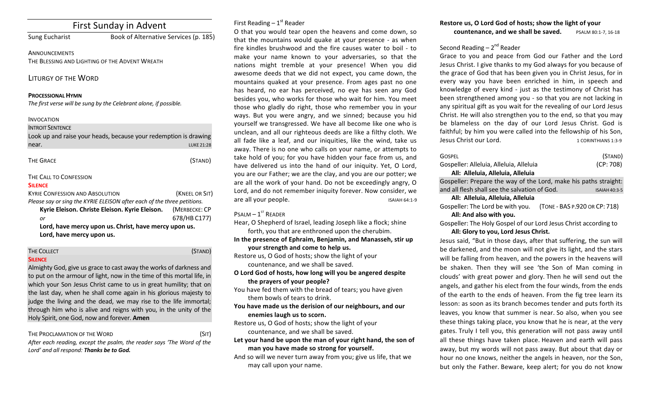# First Sunday in Advent

Sung Eucharist Book of Alternative Services (p. 185)

**ANNOUNCEMENTS** THE BLESSING AND LIGHTING OF THE ADVENT WREATH

LITURGY OF THE WORD

#### **PROCESSIONAL HYMN**

The first verse will be sung by the Celebrant alone, if possible.

#### INVOCATION

| <b>INTROIT SENTENCE</b> |                                                                  |
|-------------------------|------------------------------------------------------------------|
|                         | Look up and raise your heads, because your redemption is drawing |
| near.                   | <b>LUKE 21:28</b>                                                |

| THE GRACE |  |
|-----------|--|
|-----------|--|

## THE CALL TO CONFESSION

#### **SILENCE**

| <b>KYRIE CONFESSION AND ABSOLUTION</b>                                  | (KNEEL OR SIT) |  |
|-------------------------------------------------------------------------|----------------|--|
| Please say or sing the KYRIE ELEISON after each of the three petitions. |                |  |
| Kyrie Eleison. Christe Eleison. Kyrie Eleison.                          | (MERBECKE: CP  |  |
| or                                                                      | 678/HB C177)   |  |
| Lord, have mercy upon us. Christ, have mercy upon us.                   |                |  |
| Lord, have mercy upon us.                                               |                |  |

#### THE COLLECT **THE COLLECT COLLECT COLLECT COLLECT COLLECT COLLECT COLLECT COLLECT**

#### **SILENCE**

Almighty God, give us grace to cast away the works of darkness and to put on the armour of light, now in the time of this mortal life, in which your Son Jesus Christ came to us in great humility; that on the last day, when he shall come again in his glorious majesty to judge the living and the dead, we may rise to the life immortal; through him who is alive and reigns with you, in the unity of the Holy Spirit, one God, now and forever. **Amen** 

THE PROCLAMATION OF THE WORD (SIT)

(STAND)

After each reading, except the psalm, the reader says 'The Word of the Lord' and all respond: **Thanks be to God.** 

## First Reading  $-1<sup>st</sup>$  Reader

O that you would tear open the heavens and come down, so that the mountains would quake at your presence - as when fire kindles brushwood and the fire causes water to boil - to make your name known to your adversaries, so that the nations might tremble at your presence! When you did awesome deeds that we did not expect, you came down, the mountains quaked at your presence. From ages past no one has heard, no ear has perceived, no eye has seen any God besides you, who works for those who wait for him. You meet those who gladly do right, those who remember you in your ways. But you were angry, and we sinned; because you hid yourself we transgressed. We have all become like one who is unclean, and all our righteous deeds are like a filthy cloth. We all fade like a leaf, and our iniquities, like the wind, take us away. There is no one who calls on your name, or attempts to take hold of you; for you have hidden your face from us, and have delivered us into the hand of our iniquity. Yet, O Lord, you are our Father; we are the clay, and you are our potter; we are all the work of your hand. Do not be exceedingly angry, O Lord, and do not remember iniquity forever. Now consider, we are all your people. The set of the set of the set of the set of the set of the set of the set of the set of the set of the set of the set of the set of the set of the set of the set of the set of the set of the set of the

## $P$ SALM –  $1^{ST}$  RFADER

Hear, O Shepherd of Israel, leading Joseph like a flock; shine forth, you that are enthroned upon the cherubim.

In the presence of Ephraim, Benjamin, and Manasseh, stir up **your strength and come to help us.** 

Restore us, O God of hosts; show the light of your countenance, and we shall be saved.

**O** Lord God of hosts, how long will you be angered despite the prayers of your people?

You have fed them with the bread of tears; you have given them bowls of tears to drink.

You have made us the derision of our neighbours, and our **enemies laugh us to scorn.** 

Restore us, O God of hosts; show the light of your countenance, and we shall be saved.

Let your hand be upon the man of your right hand, the son of man you have made so strong for yourself.

And so will we never turn away from you; give us life, that we may call upon your name.

## Restore us, O Lord God of hosts; show the light of your **countenance, and we shall be saved.** PSALM 80:1-7, 16-18

## Second Reading  $-2^{nd}$  Reader

Grace to you and peace from God our Father and the Lord Jesus Christ. I give thanks to my God always for you because of the grace of God that has been given you in Christ Jesus, for in every way you have been enriched in him, in speech and knowledge of every kind - just as the testimony of Christ has been strengthened among you - so that you are not lacking in any spiritual gift as you wait for the revealing of our Lord Jesus Christ. He will also strengthen you to the end, so that you may be blameless on the day of our Lord Jesus Christ. God is faithful; by him you were called into the fellowship of his Son, Jesus Christ our Lord. 1 CORINTHIANS 1:3-9

| GOSPFI                                                            | (STAND)              |  |  |  |
|-------------------------------------------------------------------|----------------------|--|--|--|
| Gospeller: Alleluia, Alleluia, Alleluia                           | (CP: 708)            |  |  |  |
| All: Alleluia, Alleluia, Alleluia                                 |                      |  |  |  |
| Gospeller: Prepare the way of the Lord, make his paths straight:  |                      |  |  |  |
| and all flesh shall see the salvation of God.                     | <b>ISAIAH 40:3-5</b> |  |  |  |
| All: Alleluia, Alleluia, Alleluia                                 |                      |  |  |  |
| (TONE - BAS P.920 OR CP: 718)<br>Gospeller: The Lord be with you. |                      |  |  |  |
| All: And also with you.                                           |                      |  |  |  |
| Gospeller: The Holy Gospel of our Lord Jesus Christ according to  |                      |  |  |  |

#### All: Glory to you, Lord Jesus Christ.

Jesus said, "But in those days, after that suffering, the sun will be darkened, and the moon will not give its light, and the stars will be falling from heaven, and the powers in the heavens will be shaken. Then they will see 'the Son of Man coming in clouds' with great power and glory. Then he will send out the angels, and gather his elect from the four winds, from the ends of the earth to the ends of heaven. From the fig tree learn its lesson: as soon as its branch becomes tender and puts forth its leaves, you know that summer is near. So also, when you see these things taking place, you know that he is near, at the very gates. Truly I tell you, this generation will not pass away until all these things have taken place. Heaven and earth will pass away, but my words will not pass away. But about that day or hour no one knows, neither the angels in heaven, nor the Son, but only the Father. Beware, keep alert; for you do not know